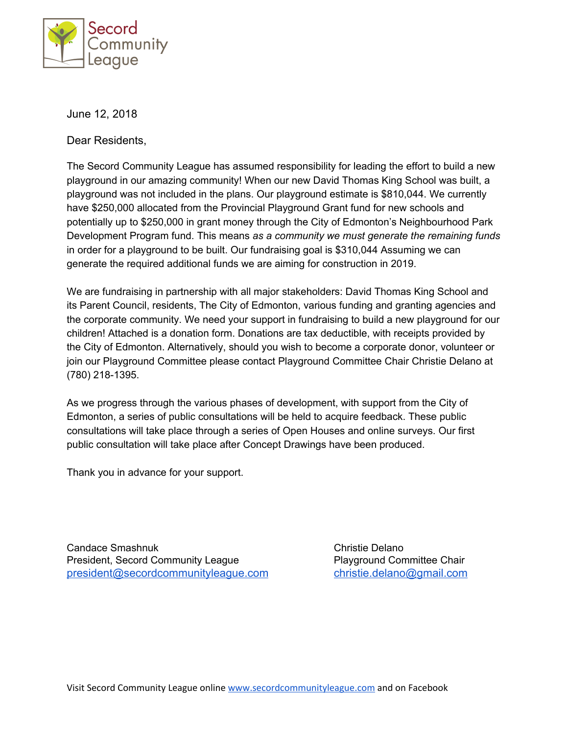

June 12, 2018

Dear Residents,

The Secord Community League has assumed responsibility for leading the effort to build a new playground in our amazing community! When our new David Thomas King School was built, a playground was not included in the plans. Our playground estimate is \$810,044. We currently have \$250,000 allocated from the Provincial Playground Grant fund for new schools and potentially up to \$250,000 in grant money through the City of Edmonton's Neighbourhood Park Development Program fund. This means *as a community we must generate the remaining funds* in order for a playground to be built. Our fundraising goal is \$310,044 Assuming we can generate the required additional funds we are aiming for construction in 2019.

We are fundraising in partnership with all major stakeholders: David Thomas King School and its Parent Council, residents, The City of Edmonton, various funding and granting agencies and the corporate community. We need your support in fundraising to build a new playground for our children! Attached is a donation form. Donations are tax deductible, with receipts provided by the City of Edmonton. Alternatively, should you wish to become a corporate donor, volunteer or join our Playground Committee please contact Playground Committee Chair Christie Delano at (780) 218-1395.

As we progress through the various phases of development, with support from the City of Edmonton, a series of public consultations will be held to acquire feedback. These public consultations will take place through a series of Open Houses and online surveys. Our first public consultation will take place after Concept Drawings have been produced.

Thank you in advance for your support.

Candace Smashnuk Christie Delano President, Secord Community League Playground Committee Chair [president@secordcommunityleague.com](mailto:president@secordcommunityleague.com) [christie.delano@gmail.com](mailto:christie.delano@gmail.com)